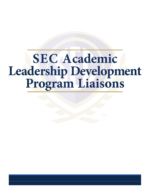# **SEC Academic Leadership Development Program Liaisons**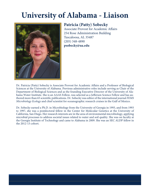### **University of Alabama - Liaison**



### **Patricia (Patty) Sobecky**

Associate Provost for Academic Affairs 254 Rose Administration Building Tuscaloosa, AL 35487 (205) 348-4890 **psobecky@ua.edu**

Dr. Patricia (Patty) Sobecky is Associate Provost for Academic Affairs and a Professor of Biological Sciences at the University of Alabama. Previous administrative roles include serving as Chair of the Department of Biological Sciences and as the founding Executive Director of the University of Alabama Water Institute. She is an AAAS Fellow, was selected as a Jefferson Science Fellow and has authored more than 65 scientific publications. Dr. Sobecky was editor of the international journal *FEMS Microbiology Ecology* and chief scientist for oceanographic research cruises in the Gulf of Mexico.

Dr. Sobecky earned a Ph.D. in Microbiology from the University of Georgia in 1993, and from 1993 to 1997, she was a postdoctoral fellow in the Center for Molecular Genetics at the University of California, San Diego. Her research interests are in the area of environmental microbiology, applying microbial processes to address societal issues related to water and soil quality. She was on faculty at the Georgia Institute of Technology and came to Alabama in 2009. She was an SEC ALDP fellow in the 2012-13 cohort.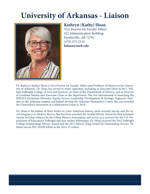### **University of Arkansas - Liaison**



### **Kathryn (Kathy) Sloan**

Vice Provost for Faculty Affairs 422 Administration Building Fayetteville, AR 72701 (479) 575-2152 **ksloan@uark.edu**

Dr. Kathryn (Kathy) Sloan is Vice Provost for Faculty Affairs and Professor of History at the University of Arkansas. Dr. Sloan has served in many capacities, including as Associate Dean in the J. William Fulbright College of Arts and Sciences, as chair of the Department of History, and as Director of Graduate Studies and Associate Chair in the department. She was instrumental in launching the IDEALS (Inclusion, Diversity, Equity, Access, Leadership Development & Strategic Supports) Institute on the Arkansas campus and helped develop the Arkansas Humanities Center. She was awarded the Chancellor's Innovation & Collaboration Grant in 2018.

Dr. Sloan is the author of three books on Latin American history, most recently *Suicide and the Social Imaginary in Modern Mexico*. She has been awarded the Arnold Hirsch Award for Best Scholarly Article in Urban History by the Urban History Association, and serves as a reviewer for the U.S. Department of Education's Fulbright and area studies fellowships. Dr. Sloan received the 2012 Fulbright College Outstanding Advisor Award and the 2011 John E. King Award for Outstanding Service. Dr. Sloan was an SEC ALDP fellow in the 2014-15 cohort.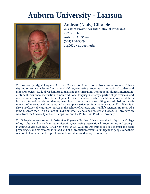### **Auburn University - Liaison**



### **Andrew (Andy) Gillespie**

Assistant Provost for International Programs 227 Foy Hall Auburn, AL 36849 (334) 844-5009 **arg0014@auburn.edu**

Dr. Andrew (Andy) Gillespie is Assistant Provost for International Programs at Auburn University and serves as the Senior International Officer, overseeing programs in international student and scholars services, study abroad, internationalizing the curriculum, international alumni, international student insurance, instruction in non-traditional languages, strategic partnerships overseas, and internationalizing recruitment, development, research and outreach. His additional responsibilities include international alumni development, international student recruiting and admissions, development of international campuses and on-campus curriculum internationalization. Dr. Gillespie is also a Professor of Natural Resources in the School of Forestry and Wildlife Sciences. He received a joint B.S. from the SUNY College of Environmental Science and Forestry and Syracuse University, an M.S. from the University of New Hampshire, and his Ph.D. from Purdue University.

Dr. Gillespie came to Auburn in 2010, after 20 years at Purdue University on the faculty in the College of Agriculture and in academic administration, overseeing international programming and strategic planning as associate dean. A Fulbright Scholar, Dr. Gillespie was trained as a soil chemist and plant physiologist, and his research is in food and fiber production systems of indigenous peoples and their relation to temperate and tropical production systems in developed countries.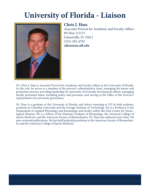# **University of Florida - Liaison**



#### **Chris J. Hass**

Associate Provost for Academic and Faculty Affairs PO Box 113175 Gainesville, FL 32611 (352) 392-4792 **cjhass@aa.ufl .edu**

Dr. Chris J. Hass is Associate Provost for Academic and Faculty Affairs at the University of Florida. In this role, he serves as a member of the provost's administrative team, managing the tenure and promotion process, providing leadership for university-level faculty development efforts, managing faculty personnel issues, including policy and processes, and serving as the Office of the Provost's representative for university governance.

Dr. Hass is a graduate of the University of Florida, and before returning to UF he held academic positions at Columbia University and the Georgia Institute of Technology. He is a Professor in the Department of Applied Physiology and Kinesiology and faculty within the Fixel Center for Neurological Diseases. He is a Fellow of the National Academy of Kinesiology, the American College of Sports Medicine, and the American Society of Biomechanics. Dr. Hass has authored more than 150 peer reviewed publications. He has held leadership positions in the American Society of Biomechanics and the American College of Sports Medicine.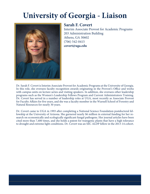### **University of Georgia - Liaison**



### **Sarah F. Covert**

Interim Associate Provost for Academic Programs 203 Administration Building Athens, GA 30602 (706) 542-0415 **covert@uga.edu**

Dr. Sarah F. Covert is Interim Associate Provost for Academic Programs at the University of Georgia. In this role, she oversees faculty recognition awards originating in the Provost's Office and works with campus units on lecture series and visiting speakers. In addition, she oversees other leadership programs such as the Women's Leadership Fellows Program and Current Administrators Training. Dr. Covert has served in a number of leadership roles at UGA, most recently as Associate Provost for Faculty Affairs for five years, and she was a faculty member in the Warnell School of Forestry and Natural Resources for nearly 30 years.

Dr. Covert came to UGA in 1993 after completing a National Science Foundation postdoctoral fellowship at the University of Arizona. She garnered nearly \$6 million in external funding for her research on economically and ecologically significant fungal pathogens. Her journal articles have been cited more than 7,400 times, and she holds a patent for transgenic plants that have a high tolerance to drought and extreme light conditions. Dr. Covert was an SEC ALDP fellow in the 2013-14 cohort.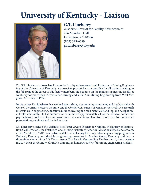# **University of Kentucky - Liaison**



#### **G.T. Lineberry**

Associate Provost for Faculty Advancement 226 Mandrell Hall Lexington, KY 40506 (859) 323-6589 **gt.lineberry@uky.edu**

Dr. G.T. Lineberry is Associate Provost for Faculty Advancement and Professor of Mining Engineering at the University of Kentucky. As associate provost he is responsible for all matters relating to the full span of the career of UK faculty members. He has been on the mining engineering faculty at Kentucky for more than 35 years after earning and a Ph.D. in Mining Engineering from West Virginia University in 1982.

In his career Dr. Lineberry has worked internships, a summer appointment, and a sabbatical with Consol, the Army Research Institute, and the former U.S. Bureau of Mines, respectively. His research interests are in engineering education, mine excavating and bulk materials handling, and occupational health and safety. He has authored or co-authored approximately 70 journal articles, conference papers, books, book chapters, and government documents and has given more than 140 conference presentations, seminars and invited lectures.

Dr. Lineberry received the Stefanko Best Paper Award (Society for Mining, Metallurgy & Exploration, Coal Division), the Pittsburgh Coal Mining Institute of America Educational Excellence Award, a Life Member of SME, was instrumental in establishing the cooperative engineering programs in Paducah, Kentucky, and the joint engineering programs in Bowling Green, Kentucky and he is a three-time winner of the UK Departmental Tau Beta Pi Outstanding Teacher award, most recently in 2013. He is the founder of Mu Nu Gamma, an honorary society for mining engineering students.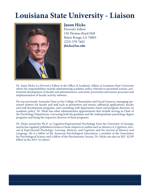# **Louisiana State University - Liaison**



**Jason Hicks** Provost's Fellow 156 Thomas Boyd Hall Baton Rouge, LA 70803 (225) 578-7662 **jhicks@lsu.edu** 

Dr. Jason Hicks is a Provost's Fellow in the Office of Academic Affairs at Louisiana State University where his responsibilities include administering academic policy relevant to personnel actions, professional development of faculty and administrators, university promotion and tenure processes and implementation of faculty activity software.

He was previously Associate Dean in the College of Humanities and Social Sciences, managing personnel matters for faculty and staff such as promotion and tenure, sabbatical applications, faculty and staff development programs, and consulting with department chairs and program directors on academic policy. Dr. Hicks has other administrative appointments that include serving as Chair of the Psychology Department, overseeing both the graduate and the undergraduate psychology degree programs and being the respective director of these programs.

Dr. Hicks earned his Ph.D. in Cognitive/Experimental Psychology from the University of Georgia, and he has regularly published articles or book chapters in outlets such as *Memory & Cognition*, *Journal of Experimental Psychology: Learning, Memory, and Cognition* and the *Journal of Memory and Language*. He is a fellow of the American Psychological Association, a member of the Association for Psychological Science and a fellow of the Psychonomic Society. Dr. Hicks was also an SEC ALDP fellow in the 2015-16 cohort.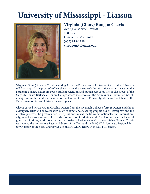# **University of Mississippi - Liaison**



### **Virginia (Ginny) Rougon Chavis**

Acting Associate Provost 150 Lyceum University, MS 38677 (662) 915-1198 **vlrougon@olemiss.edu**

Virginia (Ginny) Rougon Chavis is Acting Associate Provost and a Professor of Art at the University of Mississippi. In the provost's office, she assists with an array of administrative matters related to the academic budget, classroom space, student retention and human resources. She is also a part of the Sally McDonald Barksdale Honors College where she serves on the Admissions Committee, Scholarship Committee, and is a member of the Honors Council. Previously, she served as Chair of the Department of Art and History for seven years.

Chavis earned her M.F.A. in Graphic Design from the Savannah College of Art & Design, and she is a designer, artist and educator with years of experience teaching graphic design, letterpress and the creative process. She presents her letterpress and mixed-media works nationally and internationally, as well as working with clients who commission for design work. She has been awarded several grants, exhibitions, workshops and was an Artist in Residence in Marnay-sur-Seine, France. Chavis was named the university's Faculty Advisor of the Year and the NACADA Southeast Regional Faculty Advisor of the Year. Chavis was also an SEC ALDP fellow in the 2014-15 cohort.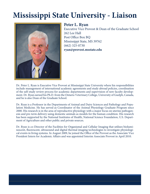# **Mississippi State University - Liaison**



#### **Peter L. Ryan**

Executive Vice Provost & Dean of the Graduate School 262 Lee Hall Post Office Box BQ Mississippi State, MS 39762 (662) 325-0730 **ryan@provost.msstate.edu**

Dr. Peter L. Ryan is Executive Vice Provost at Mississippi State University where his responsibilities include management of international academic agreements and study abroad policies, coordination of the self-study review process for academic departments and supervision of new faculty development. Dr. Ryan earned his Ph.D. from the Ontario Veterinary College, University of Guelph, Canada, and he is also Dean of the Graduate School.

Dr. Ryan is a Professor in the Departments of Animal and Dairy Sciences and Pathology and Population Medicine. He has served as Coordinator of the Animal Physiology Graduate Program since 2000. His research is in the area of reproductive physiology with a major focus on uterine pathogenesis and pre-term delivery using domestic animals as models for the human condition. His research has been supported by the National Institutes of Health, National Science Foundation, U.S. Department of Agriculture and other public and private sources.

Dr. Ryan is co-Director of the Facilities for Organismal and Cellular Imaging that utilizes bioluminescent, fluorescent, ultrasound and digital thermal imaging technologies to investigate physiological events in living systems. In August 2009, he joined the Office of the Provost as the Associate Vice President Intern for Academic Affairs and was appointed Interim Associate Provost in April 2010.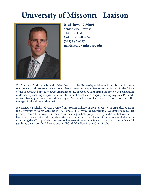# **University of Missouri - Liaison**



#### **Matthew P. Martens**

Senior Vice Provost 114 Jesse Hall Columbia, MO 65211 (573) 882-6597 **martensmp@missouri.edu**

Dr. Matthew P. Martens is Senior Vice Provost at the University of Missouri. In this role, he oversees policies and processes related to academic programs, supervises several units within the Office of the Provost and provides direct assistance to the provost by supporting the review and evaluation of deans, representing the provost in meetings or at events, and triaging meeting requests. Prior administrative appointments include serving as Associate Division Dean and Division Director in the College of Education at Missouri.

He earned a Bachelor of Arts degree from Boston College in 1995, a Master of Arts degree from the University of North Carolina in 1997, and a Ph.D. from the University of Missouri in 2002. His primary research interest is in the area of health psychology, particularly addictive behaviors. He has been either a principal or co-investigator on multiple federally and foundation-funded studies examining the efficacy of brief motivational interventions at reducing at-risk alcohol use and harmful gambling behaviors. Dr. Martens was an SEC ALDP fellow in the 2014-15 cohort.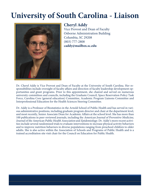### **University of South Carolina - Liaison**



### **Cheryl Addy**

Vice Provost and Dean of Faculty Osborne Administration Building Columbia, SC 29208 (803) 777-2808 **caddy@mailbox.sc.edu**

Dr. Cheryl Addy is Vice Provost and Dean of Faculty at the University of South Carolina. Her responsibilities include oversight of faculty affairs and direction of faculty leadership development opportunities and grant programs. Prior to this appointment, she chaired and served on numerous university committees and councils, including the Graduate Council, Space Reservation Policy Task Force, Carolina Core (general education) Committee, Academic Program Liaisons Committee and Interprofessional Education for the Health Sciences Steering Committee.

Dr. Addy is a Professor of Biostatistics in the Arnold School of Public Health and has served in various administrative positions, including graduate program director and chair at the department level, and most recently, Senior Associate Dean for Academic Affairs at the school level. She has more than 100 publications in peer-reviewed journals, including the American Journal of Preventive Medicine, Journal of the American Public Health Association and Epidemiology. Dr. Addy's more recent activities include several randomized trials to evaluate interventions to increase physical activity behaviors and to improve nutrition behaviors in diverse populations ranging from preschool children to older adults. She is also active within the Association of Schools and Programs of Public Health and is a trained accreditation site visit chair for the Council on Education for Public Health.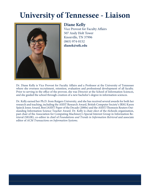# **University of Tennessee - Liaison**



#### **Diane Kelly**

Vice Provost for Faculty Affairs 507 Andy Holt Tower Knoxville, TN 37996 (865) 974-0152 **dianek@utk.edu**

Dr. Diane Kelly is Vice Provost for Faculty Affairs and a Professor at the University of Tennessee where she oversees recruitment, retention, evaluation and professional development of all faculty. Prior to serving in the office of the provost, she was Director at the School of Information Sciences, and she guided the school through creation of a new bachelor's degree in information sciences.

Dr. Kelly earned her Ph.D. from Rutgers University, and she has received several awards for both her research and teaching, including the ASIST Research Award, British Computer Society's IRSG Karen Spärck Jones Award, Best JASIST Paper of the Decade (2000s) and the ASIST/Thomson Reuters Outstanding Information Science Teacher Award. Dr. Kelly is chair-elect of the iSchools organization, past chair of the Association for Computing Machinery's Special Interest Group in Information Retrieval (SIGIR), co-editor in chief of *Foundations and Trends in Information Retrieval* and associate editor of *ACM Transactions on Information Systems*.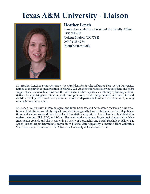# **Texas A&M University - Liaison**



### **Heather Lench**

Senior Associate Vice President for Faculty Affairs 4235 TAMU College Station, TX 77843 (979) 845-4274  **hlench@tamu.edu**

Dr. Heather Lench is Senior Associate Vice President for Faculty Affairs at Texas A&M University, named to the newly created position in March 2022. As the senior associate vice president, she helps support faculty across their careers at the university. She has experience in strategic planning and initiatives, faculty hiring and retention, evaluation processes, mentoring programs, and data informed decision making. Dr. Lench has previoulsy served as department head and associate head, among other administrative roles.

Dr. Lench is a Professor in Psychological and Brain Sciences, and her research focuses on how emotions and intuitions powerfully impact people's thinking and behavior. She has more than 70 publications, and she has received both federal and foundation support. Dr. Lench has been highlighted in outlets including NPR, BBC, and Wired. She received the American Psychological Association New Investigator Award, and she is currently a Society of Personality and Social Psychology fellow. Dr. Lench earned her undergraduate degree from Florida State University, a master's from California State University, Fresno, and a Ph.D. from the University of California, Irvine.